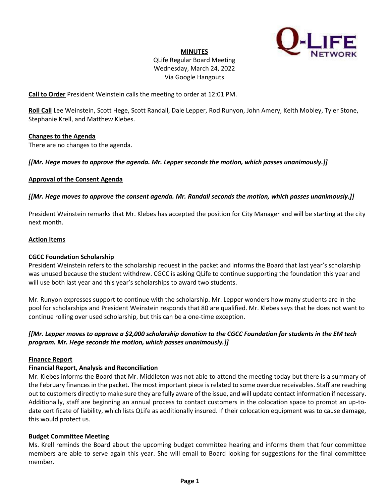

#### **MINUTES**

# QLife Regular Board Meeting Wednesday, March 24, 2022 Via Google Hangouts

**Call to Order** President Weinstein calls the meeting to order at 12:01 PM.

**Roll Call** Lee Weinstein, Scott Hege, Scott Randall, Dale Lepper, Rod Runyon, John Amery, Keith Mobley, Tyler Stone, Stephanie Krell, and Matthew Klebes.

### **Changes to the Agenda**

There are no changes to the agenda.

### *[[Mr. Hege moves to approve the agenda. Mr. Lepper seconds the motion, which passes unanimously.]]*

### **Approval of the Consent Agenda**

## *[[Mr. Hege moves to approve the consent agenda. Mr. Randall seconds the motion, which passes unanimously.]]*

President Weinstein remarks that Mr. Klebes has accepted the position for City Manager and will be starting at the city next month.

### **Action Items**

## **CGCC Foundation Scholarship**

President Weinstein refers to the scholarship request in the packet and informs the Board that last year's scholarship was unused because the student withdrew. CGCC is asking QLife to continue supporting the foundation this year and will use both last year and this year's scholarships to award two students.

Mr. Runyon expresses support to continue with the scholarship. Mr. Lepper wonders how many students are in the pool for scholarships and President Weinstein responds that 80 are qualified. Mr. Klebes says that he does not want to continue rolling over used scholarship, but this can be a one-time exception.

# *[[Mr. Lepper moves to approve a \$2,000 scholarship donation to the CGCC Foundation for students in the EM tech program. Mr. Hege seconds the motion, which passes unanimously.]]*

## **Finance Report**

## **Financial Report, Analysis and Reconciliation**

Mr. Klebes informs the Board that Mr. Middleton was not able to attend the meeting today but there is a summary of the February finances in the packet. The most important piece is related to some overdue receivables. Staff are reaching out to customers directly to make sure they are fully aware of the issue, and will update contact information if necessary. Additionally, staff are beginning an annual process to contact customers in the colocation space to prompt an up-todate certificate of liability, which lists QLife as additionally insured. If their colocation equipment was to cause damage, this would protect us.

#### **Budget Committee Meeting**

Ms. Krell reminds the Board about the upcoming budget committee hearing and informs them that four committee members are able to serve again this year. She will email to Board looking for suggestions for the final committee member.